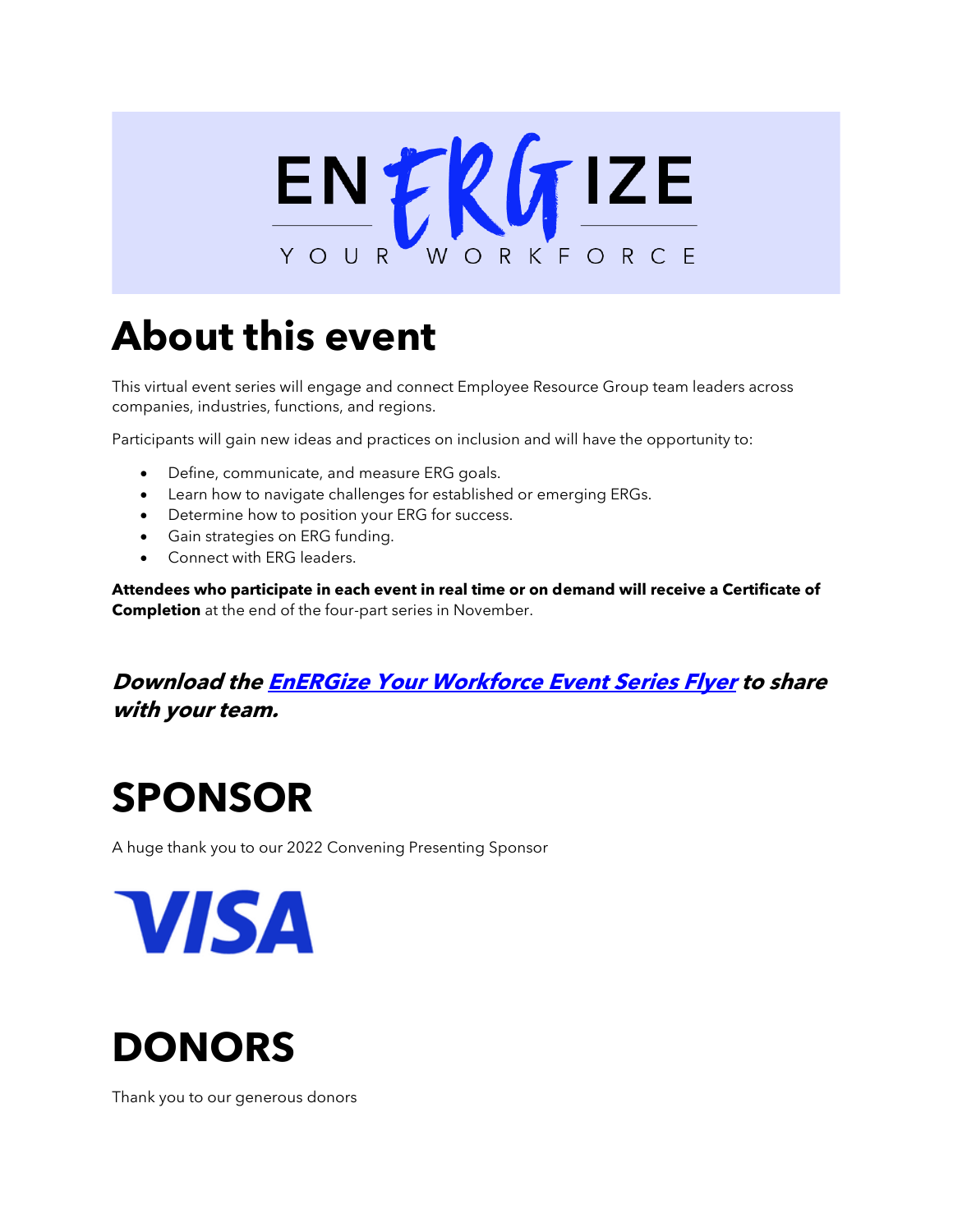

# **About this event**

This virtual event series will engage and connect Employee Resource Group team leaders across companies, industries, functions, and regions.

Participants will gain new ideas and practices on inclusion and will have the opportunity to:

- Define, communicate, and measure ERG goals.
- Learn how to navigate challenges for established or emerging ERGs.
- Determine how to position your ERG for success.
- Gain strategies on ERG funding.
- Connect with ERG leaders.

**Attendees who participate in each event in real time or on demand will receive a Certificate of Completion** at the end of the four-part series in November.

### **Download the [EnERGize Your Workforce Event Series Flyer](https://www.catalyst.org/wp-content/uploads/2022/01/EnERGize-Your-Workforce-2022_Series-Flyer.pdf) to share with your team.**

### **SPONSOR**

A huge thank you to our 2022 Convening Presenting Sponsor

**VISA** 



Thank you to our generous donors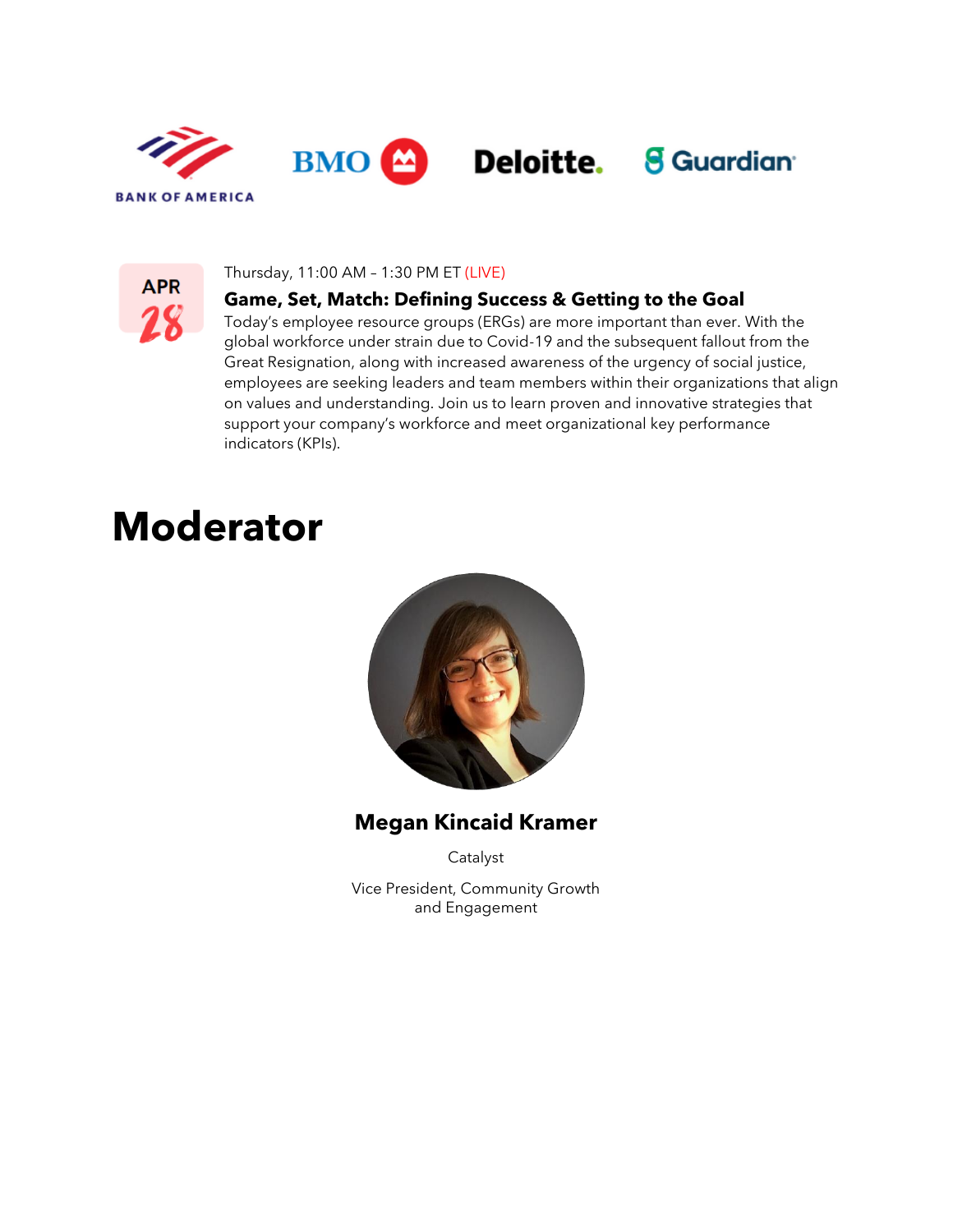



#### Thursday, 11:00 AM – 1:30 PM ET (LIVE)

#### **Game, Set, Match: Defining Success & Getting to the Goal**

Today's employee resource groups (ERGs) are more important than ever. With the global workforce under strain due to Covid-19 and the subsequent fallout from the Great Resignation, along with increased awareness of the urgency of social justice, employees are seeking leaders and team members within their organizations that align on values and understanding. Join us to learn proven and innovative strategies that support your company's workforce and meet organizational key performance indicators (KPIs).

### **Moderator**



**Megan Kincaid Kramer**

Catalyst

Vice President, Community Growth and Engagement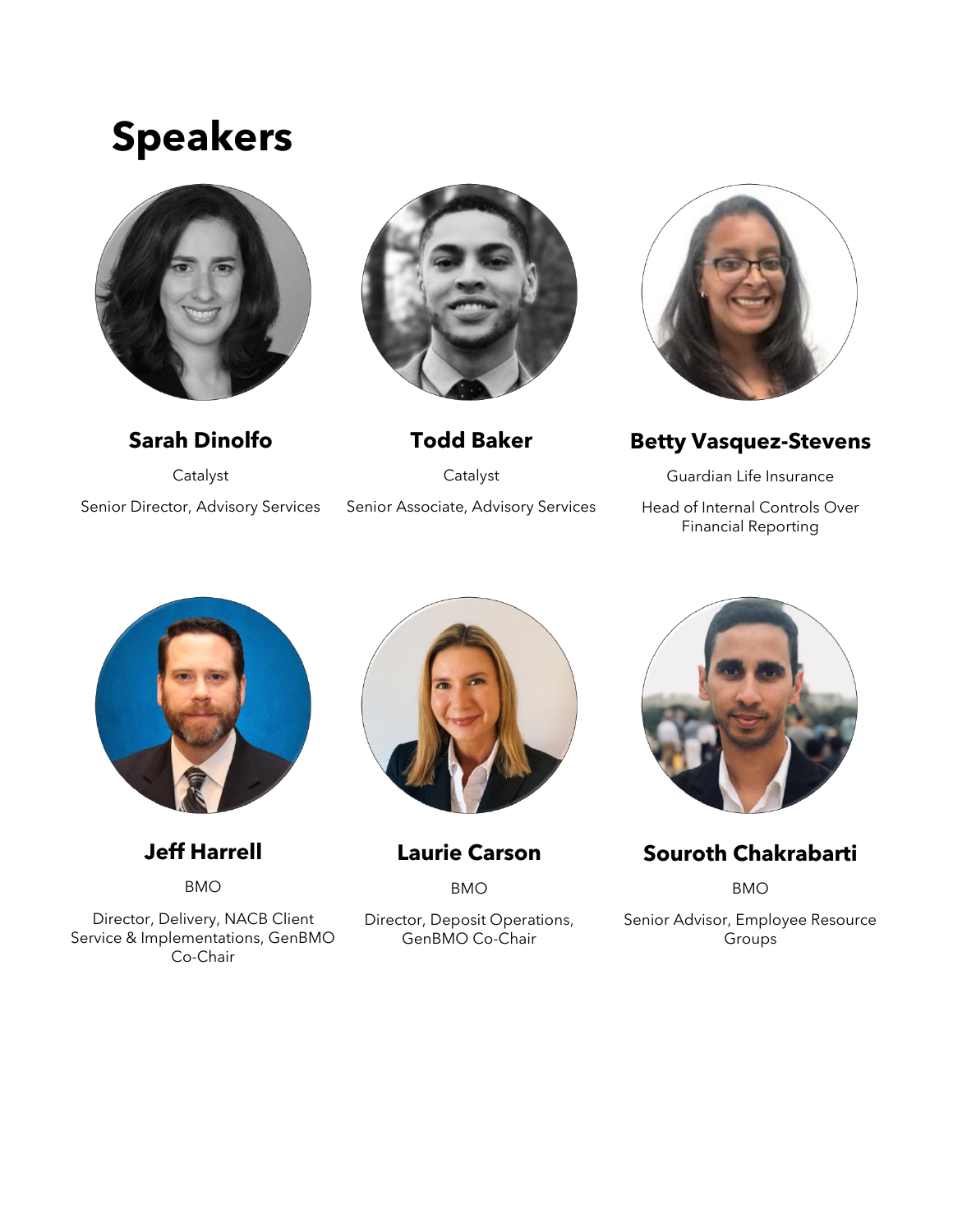### **Speakers**





Senior Director, Advisory Services



**Todd Baker** Catalyst Senior Associate, Advisory Services



**Betty Vasquez-Stevens**

Guardian Life Insurance Head of Internal Controls Over Financial Reporting



**Jeff Harrell**

BMO

Director, Delivery, NACB Client Service & Implementations, GenBMO Co-Chair



**Laurie Carson**

BMO

Director, Deposit Operations, GenBMO Co-Chair



**Souroth Chakrabarti**

BMO

Senior Advisor, Employee Resource Groups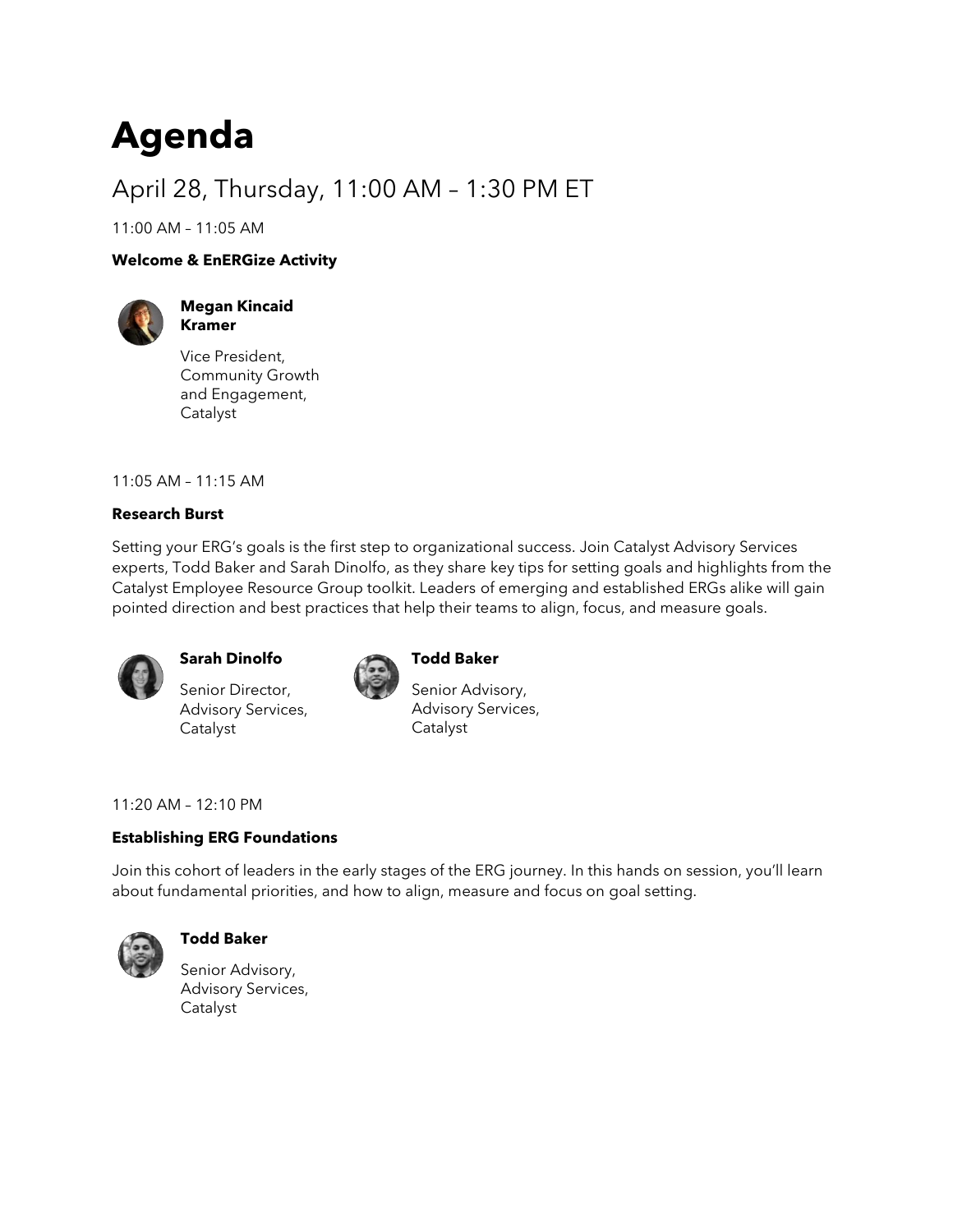## **Agenda**

### April 28, Thursday, 11:00 AM – 1:30 PM ET

11:00 AM – 11:05 AM

#### **Welcome & EnERGize Activity**



**Megan Kincaid Kramer**

Vice President, Community Growth and Engagement, Catalyst

11:05 AM – 11:15 AM

#### **Research Burst**

Setting your ERG's goals is the first step to organizational success. Join Catalyst Advisory Services experts, Todd Baker and Sarah Dinolfo, as they share key tips for setting goals and highlights from the Catalyst Employee Resource Group toolkit. Leaders of emerging and established ERGs alike will gain pointed direction and best practices that help their teams to align, focus, and measure goals.



#### **Sarah Dinolfo**

Senior Director, Advisory Services, Catalyst



#### **Todd Baker**

Senior Advisory, Advisory Services, Catalyst

11:20 AM – 12:10 PM

#### **Establishing ERG Foundations**

Join this cohort of leaders in the early stages of the ERG journey. In this hands on session, you'll learn about fundamental priorities, and how to align, measure and focus on goal setting.



#### **Todd Baker**

Senior Advisory, Advisory Services, Catalyst